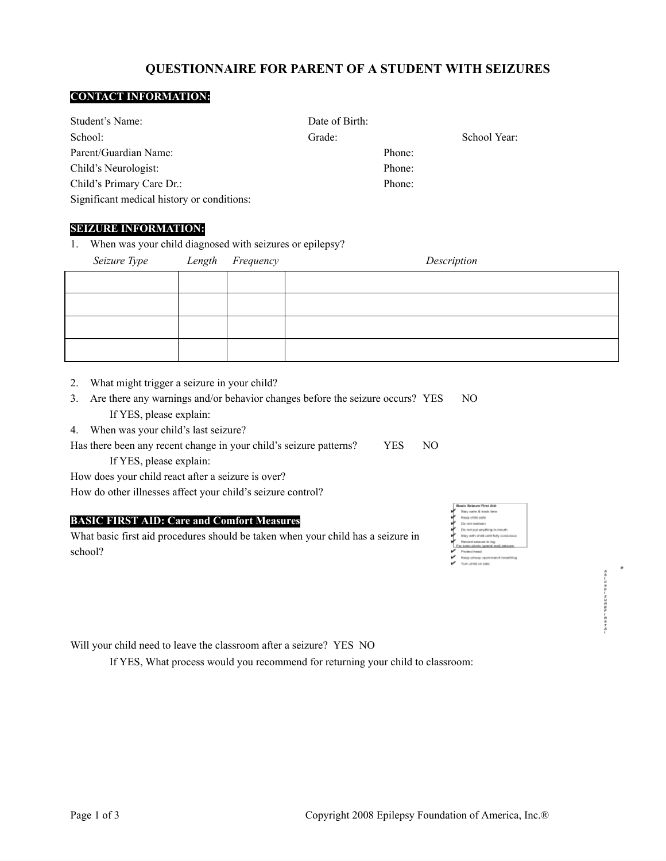# **QUESTIONNAIRE FOR PARENT OF A STUDENT WITH SEIZURES**

## **CONTACT INFORMATION:**

| Student's Name:                            | Date of Birth: |              |
|--------------------------------------------|----------------|--------------|
| School:                                    | Grade:         | School Year: |
| Parent/Guardian Name:                      | Phone:         |              |
| Child's Neurologist:                       | Phone:         |              |
| Child's Primary Care Dr.:                  | Phone:         |              |
| Significant medical history or conditions: |                |              |

### **SEIZURE INFORMATION:**

1. When was your child diagnosed with seizures or epilepsy?

| Seizure Type Length Frequency |  | Description |
|-------------------------------|--|-------------|
|                               |  |             |
|                               |  |             |
|                               |  |             |
|                               |  |             |

- 2. What might trigger a seizure in your child?
- 3. Are there any warnings and/or behavior changes before the seizure occurs? YES NO If YES, please explain:
- 4. When was your child's last seizure?
- Has there been any recent change in your child's seizure patterns? YES NO If YES, please explain:
- How does your child react after a seizure is over?

How do other illnesses affect your child's seizure control?

# **BASIC FIRST AID: Care and Comfort Measures**

What basic first aid procedures should be taken when your child has a seizure in school?

| Basic Science First Aid.                                       |
|----------------------------------------------------------------|
| likey native & trands three                                    |
| Keep child sale                                                |
| Die meil vanahinger                                            |
| De not put anything in mouth                                   |
| STAY WITH CFIRE UNTIL TURY CORACIONAL                          |
| Figurers' suriouse in loss<br>For testic about inversi med and |
| <b>Finalecti Insural</b>                                       |
| Kaop oinvas open/watch broathing                               |
| TUAN (FIRE OR ARB)                                             |

49-00-12022-004-0

Will your child need to leave the classroom after a seizure? YES NO

If YES, What process would you recommend for returning your child to classroom: